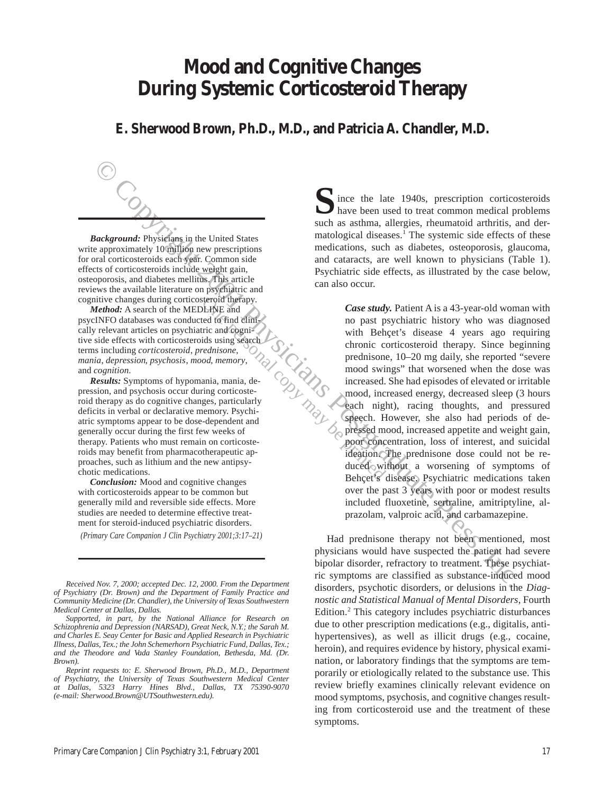# **Mood and Cognitive Changes During Systemic Corticosteroid Therapy**

**E. Sherwood Brown, Ph.D., M.D., and Patricia A. Chandler, M.D.**

*Background:* Physicians in the United States write approximately 10 million new prescriptions for oral corticosteroids each year. Common side effects of corticosteroids include weight gain, osteoporosis, and diabetes mellitus. This article reviews the available literature on psychiatric and cognitive changes during corticosteroid therapy.

*Method:* A search of the MEDLINE and cally relevant articles on psychiatric and cognitive side effects with corticosteroids using search terms including *corticosteroid*, *prednisone*, *mania*, *depression*, *psychosis*, *mood*, *memory*, and *cognition*.

psycINFO databases was conducted to find clini-<br>cally relevant articles on psychiatric and cogni-<br>tive side effects with corticosteroids using search<br>terms including *corticosteroid*, prednisone,<br>mania, depression, psychos *Results:* Symptoms of hypomania, mania, depression, and psychosis occur during corticosteroid therapy as do cognitive changes, particularly deficits in verbal or declarative memory. Psychiatric symptoms appear to be dose-dependent and generally occur during the first few weeks of therapy. Patients who must remain on corticosteroids may benefit from pharmacotherapeutic approaches, such as lithium and the new antipsychotic medications.

*Conclusion:* Mood and cognitive changes with corticosteroids appear to be common but generally mild and reversible side effects. More studies are needed to determine effective treatment for steroid-induced psychiatric disorders.

*(Primary Care Companion J Clin Psychiatry 2001;3:17–21)*

ince the late 1940s, prescription corticosteroids S ince the late 1940s, prescription corticosteroids<br>have been used to treat common medical problems such as asthma, allergies, rheumatoid arthritis, and dermatological diseases.<sup>1</sup> The systemic side effects of these medications, such as diabetes, osteoporosis, glaucoma, and cataracts, are well known to physicians (Table 1). Psychiatric side effects, as illustrated by the case below, can also occur.

Copyright 2001 Physicians Poster (2001) and the state of the component of the component of the copyright 2001 Physicians Press, Inc. 2001 Physicians Press, Inc. 2001 Physicians Press, Inc. 2001 Physicians (2001) and Conte *Case study.* Patient A is a 43-year-old woman with no past psychiatric history who was diagnosed with Behçet's disease 4 years ago requiring chronic corticosteroid therapy. Since beginning prednisone, 10–20 mg daily, she reported "severe mood swings" that worsened when the dose was increased. She had episodes of elevated or irritable mood, increased energy, decreased sleep (3 hours each night), racing thoughts, and pressured speech. However, she also had periods of depressed mood, increased appetite and weight gain, poor concentration, loss of interest, and suicidal ideation. The prednisone dose could not be reduced without a worsening of symptoms of Behçet's disease. Psychiatric medications taken over the past 3 years with poor or modest results included fluoxetine, sertraline, amitriptyline, alprazolam, valproic acid, and carbamazepine.

Had prednisone therapy not been mentioned, most physicians would have suspected the patient had severe bipolar disorder, refractory to treatment. These psychiatric symptoms are classified as substance-induced mood disorders, psychotic disorders, or delusions in the *Diagnostic and Statistical Manual of Mental Disorders*, Fourth Edition.<sup>2</sup> This category includes psychiatric disturbances due to other prescription medications (e.g., digitalis, antihypertensives), as well as illicit drugs (e.g., cocaine, heroin), and requires evidence by history, physical examination, or laboratory findings that the symptoms are temporarily or etiologically related to the substance use. This review briefly examines clinically relevant evidence on mood symptoms, psychosis, and cognitive changes resulting from corticosteroid use and the treatment of these symptoms.

*Received Nov. 7, 2000; accepted Dec. 12, 2000. From the Department of Psychiatry (Dr. Brown) and the Department of Family Practice and Community Medicine (Dr. Chandler), the University of Texas Southwestern Medical Center at Dallas, Dallas.*

*Supported, in part, by the National Alliance for Research on Schizophrenia and Depression (NARSAD), Great Neck, N.Y.; the Sarah M. and Charles E. Seay Center for Basic and Applied Research in Psychiatric Illness, Dallas, Tex.; the John Schemerhorn Psychiatric Fund, Dallas, Tex.; and the Theodore and Vada Stanley Foundation, Bethesda, Md. (Dr. Brown).*

*Reprint requests to: E. Sherwood Brown, Ph.D., M.D., Department of Psychiatry, the University of Texas Southwestern Medical Center at Dallas, 5323 Harry Hines Blvd., Dallas, TX 75390-9070 (e-mail: Sherwood.Brown@UTSouthwestern.edu).*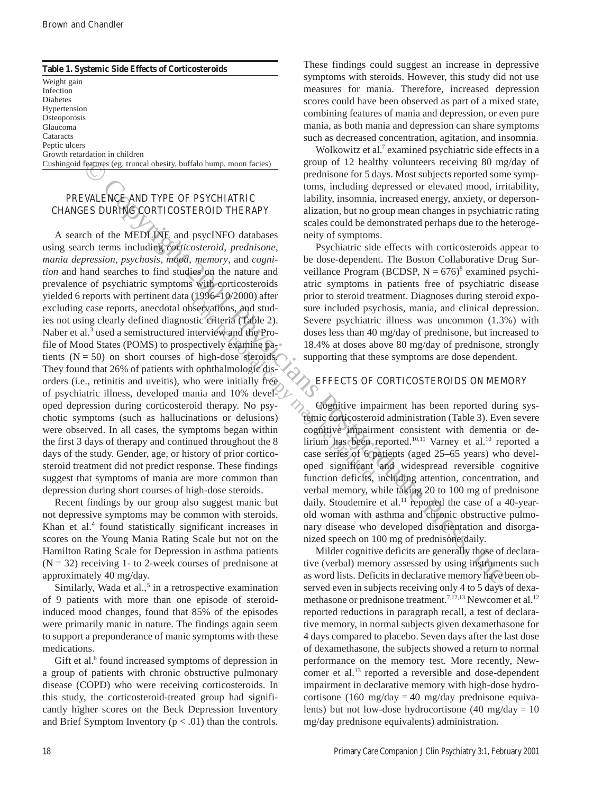| Table 1. Systemic Side Effects of Corticosteroids                    |  |  |  |  |
|----------------------------------------------------------------------|--|--|--|--|
| Weight gain                                                          |  |  |  |  |
| Infection                                                            |  |  |  |  |
| <b>Diabetes</b>                                                      |  |  |  |  |
| Hypertension                                                         |  |  |  |  |
| Osteoporosis                                                         |  |  |  |  |
| Glaucoma                                                             |  |  |  |  |
| Cataracts                                                            |  |  |  |  |
| Peptic ulcers                                                        |  |  |  |  |
| Growth retardation in children                                       |  |  |  |  |
| Cushingoid features (eg, truncal obesity, buffalo hump, moon facies) |  |  |  |  |

### PREVALENCE AND TYPE OF PSYCHIATRIC CHANGES DURING CORTICOSTEROID THERAPY

Examples (ag. numeal obseign; buffalo hump, moon facise)<br> **EVALENCE AND TYPE OF PSYCHIATRIC** to the simple depressed or elevated model, in<br>
WALENCE AND TYPE OF PSYCHIATRIC to the MEDITIPS and psycINFO databases<br>
ES DURING A search of the MEDLINE and psycINFO databases using search terms including *corticosteroid*, *prednisone*, *mania depression*, *psychosis*, *mood*, *memory*, and *cognition* and hand searches to find studies on the nature and prevalence of psychiatric symptoms with corticosteroids yielded 6 reports with pertinent data (1996–10/2000) after excluding case reports, anecdotal observations, and studies not using clearly defined diagnostic criteria (Table 2). Naber et al.<sup>3</sup> used a semistructured interview and the Profile of Mood States (POMS) to prospectively examine patients  $(N = 50)$  on short courses of high-dose steroids. They found that 26% of patients with ophthalmologic disorders (i.e., retinitis and uveitis), who were initially free of psychiatric illness, developed mania and 10% developed depression during corticosteroid therapy. No psychotic symptoms (such as hallucinations or delusions) were observed. In all cases, the symptoms began within the first 3 days of therapy and continued throughout the 8 days of the study. Gender, age, or history of prior corticosteroid treatment did not predict response. These findings suggest that symptoms of mania are more common than depression during short courses of high-dose steroids.

Recent findings by our group also suggest manic but not depressive symptoms may be common with steroids. Khan et al.<sup>4</sup> found statistically significant increases in scores on the Young Mania Rating Scale but not on the Hamilton Rating Scale for Depression in asthma patients  $(N = 32)$  receiving 1- to 2-week courses of prednisone at approximately 40 mg/day.

Similarly, Wada et al., $<sup>5</sup>$  in a retrospective examination</sup> of 9 patients with more than one episode of steroidinduced mood changes, found that 85% of the episodes were primarily manic in nature. The findings again seem to support a preponderance of manic symptoms with these medications.

Gift et al.<sup>6</sup> found increased symptoms of depression in a group of patients with chronic obstructive pulmonary disease (COPD) who were receiving corticosteroids. In this study, the corticosteroid-treated group had significantly higher scores on the Beck Depression Inventory and Brief Symptom Inventory  $(p < .01)$  than the controls. These findings could suggest an increase in depressive symptoms with steroids. However, this study did not use measures for mania. Therefore, increased depression scores could have been observed as part of a mixed state, combining features of mania and depression, or even pure mania, as both mania and depression can share symptoms such as decreased concentration, agitation, and insomnia.

Wolkowitz et al.<sup>7</sup> examined psychiatric side effects in a group of 12 healthy volunteers receiving 80 mg/day of prednisone for 5 days. Most subjects reported some symptoms, including depressed or elevated mood, irritability, lability, insomnia, increased energy, anxiety, or depersonalization, but no group mean changes in psychiatric rating scales could be demonstrated perhaps due to the heterogeneity of symptoms.

Psychiatric side effects with corticosteroids appear to be dose-dependent. The Boston Collaborative Drug Surveillance Program (BCDSP,  $N = 676$ <sup>8</sup> examined psychiatric symptoms in patients free of psychiatric disease prior to steroid treatment. Diagnoses during steroid exposure included psychosis, mania, and clinical depression. Severe psychiatric illness was uncommon (1.3%) with doses less than 40 mg/day of prednisone, but increased to 18.4% at doses above 80 mg/day of prednisone, strongly supporting that these symptoms are dose dependent.

#### EFFECTS OF CORTICOSTEROIDS ON MEMORY

Cognitive impairment has been reported during systemic corticosteroid administration (Table 3). Even severe cognitive impairment consistent with dementia or delirium has been reported.<sup>10,11</sup> Varney et al.<sup>10</sup> reported a case series of 6 patients (aged 25–65 years) who developed significant and widespread reversible cognitive function deficits, including attention, concentration, and verbal memory, while taking 20 to 100 mg of prednisone daily. Stoudemire et al. $^{11}$  reported the case of a 40-yearold woman with asthma and chronic obstructive pulmonary disease who developed disorientation and disorganized speech on 100 mg of prednisone daily.

Milder cognitive deficits are generally those of declarative (verbal) memory assessed by using instruments such as word lists. Deficits in declarative memory have been observed even in subjects receiving only 4 to 5 days of dexamethasone or prednisone treatment.<sup>7,12,13</sup> Newcomer et al.<sup>12</sup> reported reductions in paragraph recall, a test of declarative memory, in normal subjects given dexamethasone for 4 days compared to placebo. Seven days after the last dose of dexamethasone, the subjects showed a return to normal performance on the memory test. More recently, Newcomer et al.13 reported a reversible and dose-dependent impairment in declarative memory with high-dose hydrocortisone (160 mg/day = 40 mg/day prednisone equivalents) but not low-dose hydrocortisone  $(40 \text{ mg/day} = 10$ mg/day prednisone equivalents) administration.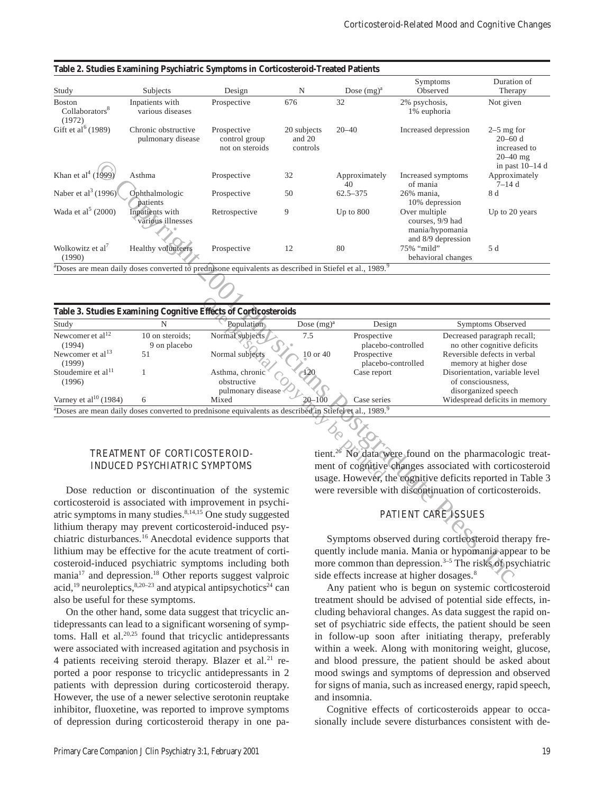| Study                                                                                                                                     | Subjects                                                                                                                           | Design                                              | N                                 | Dose $(mg)^a$                                                                                                          | Symptoms<br>Observed                                                                                             | Duration of<br>Therapy                                                         |  |
|-------------------------------------------------------------------------------------------------------------------------------------------|------------------------------------------------------------------------------------------------------------------------------------|-----------------------------------------------------|-----------------------------------|------------------------------------------------------------------------------------------------------------------------|------------------------------------------------------------------------------------------------------------------|--------------------------------------------------------------------------------|--|
| <b>Boston</b><br>Collaborators <sup>8</sup><br>(1972)                                                                                     | Inpatients with<br>various diseases                                                                                                | Prospective                                         | 676                               | 32                                                                                                                     | 2% psychosis,<br>1% euphoria                                                                                     | Not given                                                                      |  |
| Gift et al <sup>6</sup> (1989)                                                                                                            | Chronic obstructive<br>pulmonary disease                                                                                           | Prospective<br>control group<br>not on steroids     | 20 subjects<br>and 20<br>controls | $20 - 40$                                                                                                              | Increased depression                                                                                             | $2-5$ mg for<br>$20 - 60$ d<br>increased to<br>$20 - 40$ mg<br>in past 10-14 d |  |
| Khan et al <sup>4</sup> (1999)                                                                                                            | Asthma                                                                                                                             | Prospective                                         | 32                                | Approximately<br>40                                                                                                    | Increased symptoms<br>of mania                                                                                   | Approximately<br>$7 - 14d$                                                     |  |
| Naber et al <sup>3</sup> (1996)                                                                                                           | Ophthalmologic<br>patients                                                                                                         | Prospective                                         | 50                                | $62.5 - 375$                                                                                                           | 26% mania,<br>10% depression                                                                                     | 8 d                                                                            |  |
| Wada et al <sup>5</sup> (2000)                                                                                                            | Inpatients with<br>various illnesses                                                                                               | Retrospective                                       | 9                                 | Up to $800$                                                                                                            | Over multiple<br>courses, 9/9 had<br>mania/hypomania                                                             | Up to 20 years                                                                 |  |
| Wolkowitz et al <sup>7</sup><br>(1990)                                                                                                    | <b>Healthy</b> volunteers                                                                                                          | Prospective                                         | 12                                | 80                                                                                                                     | and 8/9 depression<br>75% "mild"<br>behavioral changes                                                           | 5 d                                                                            |  |
|                                                                                                                                           | <sup>a</sup> Doses are mean daily doses converted to prednisone equivalents as described in Stiefel et al., 1989. <sup>9</sup>     |                                                     |                                   |                                                                                                                        |                                                                                                                  |                                                                                |  |
|                                                                                                                                           |                                                                                                                                    |                                                     |                                   |                                                                                                                        |                                                                                                                  |                                                                                |  |
|                                                                                                                                           | Table 3. Studies Examining Cognitive Effects of Corticosteroids                                                                    |                                                     |                                   |                                                                                                                        |                                                                                                                  |                                                                                |  |
| Study                                                                                                                                     | N                                                                                                                                  | Population                                          | Dose $(mg)^a$                     | Design                                                                                                                 |                                                                                                                  | <b>Symptoms Observed</b>                                                       |  |
| Newcomer et al <sup>12</sup><br>(1994)                                                                                                    | 10 on steroids;<br>9 on placebo                                                                                                    | Normal subjects                                     | 7.5                               | Prospective<br>placebo-controlled                                                                                      | Decreased paragraph recall;<br>no other cognitive deficits                                                       |                                                                                |  |
| Newcomer et al <sup>13</sup><br>(1999)                                                                                                    | 51                                                                                                                                 | Normal subjects                                     | $10$ or $40$                      | Prospective                                                                                                            | placebo-controlled                                                                                               | Reversible defects in verbal<br>memory at higher dose                          |  |
| Stoudemire et al <sup>11</sup><br>(1996)                                                                                                  | 1                                                                                                                                  | Asthma, chronic<br>obstructive<br>pulmonary disease |                                   | Case report                                                                                                            |                                                                                                                  | Disorientation, variable level<br>of consciousness,<br>disorganized speech     |  |
| Varney et al <sup>10</sup> (1984)                                                                                                         | 6                                                                                                                                  | Mixed                                               | $20 - 100$                        | Case series                                                                                                            |                                                                                                                  | Widespread deficits in memory                                                  |  |
|                                                                                                                                           | <sup>a</sup> Doses are mean daily doses converted to prednisone equivalents as described in Stiefel et al., 1989. <sup>9</sup>     |                                                     |                                   |                                                                                                                        |                                                                                                                  |                                                                                |  |
|                                                                                                                                           |                                                                                                                                    |                                                     |                                   |                                                                                                                        |                                                                                                                  |                                                                                |  |
|                                                                                                                                           | TREATMENT OF CORTICOSTEROID-                                                                                                       |                                                     |                                   |                                                                                                                        | tient. <sup>26</sup> No data were found on the pharmacologic treat-                                              |                                                                                |  |
| <b>INDUCED PSYCHIATRIC SYMPTOMS</b>                                                                                                       |                                                                                                                                    |                                                     |                                   | ment of cognitive changes associated with corticosteroid<br>usage. However, the cognitive deficits reported in Table 3 |                                                                                                                  |                                                                                |  |
|                                                                                                                                           | Dose reduction or discontinuation of the systemic                                                                                  |                                                     |                                   |                                                                                                                        | were reversible with discontinuation of corticosteroids.                                                         |                                                                                |  |
|                                                                                                                                           | corticosteroid is associated with improvement in psychi-<br>atric symptoms in many studies. <sup>8,14,15</sup> One study suggested |                                                     |                                   |                                                                                                                        | <b>PATIENT CARE ISSUES</b>                                                                                       |                                                                                |  |
|                                                                                                                                           | lithium therapy may prevent corticosteroid-induced psy-                                                                            |                                                     |                                   |                                                                                                                        |                                                                                                                  |                                                                                |  |
|                                                                                                                                           | chiatric disturbances. <sup>16</sup> Anecdotal evidence supports that                                                              |                                                     |                                   |                                                                                                                        | Symptoms observed during corticosteroid therapy fre-                                                             |                                                                                |  |
| lithium may be effective for the acute treatment of corti-                                                                                |                                                                                                                                    |                                                     |                                   | quently include mania. Mania or hypomania appear to be                                                                 |                                                                                                                  |                                                                                |  |
| costeroid-induced psychiatric symptoms including both<br>mania <sup>17</sup> and depression. <sup>18</sup> Other reports suggest valproic |                                                                                                                                    |                                                     |                                   | more common than depression. <sup>3-5</sup> The risks of psychiatric                                                   |                                                                                                                  |                                                                                |  |
|                                                                                                                                           | agid <sup>19</sup> nouvelantiag <sup>8,20–23</sup> and etimized entingual principal age                                            |                                                     |                                   |                                                                                                                        | side effects increase at higher dosages. <sup>8</sup><br>April potiant who is because on existencia continuation |                                                                                |  |

| Table 2. Studies Examining Psychiatric Symptoms in Corticosteroid-Treated Patients |  |  |  |
|------------------------------------------------------------------------------------|--|--|--|
|------------------------------------------------------------------------------------|--|--|--|

#### TREATMENT OF CORTICOSTEROID-INDUCED PSYCHIATRIC SYMPTOMS

Dose reduction or discontinuation of the systemic corticosteroid is associated with improvement in psychiatric symptoms in many studies. $8,14,15$  One study suggested lithium therapy may prevent corticosteroid-induced psychiatric disturbances.16 Anecdotal evidence supports that lithium may be effective for the acute treatment of corticosteroid-induced psychiatric symptoms including both mania $17$  and depression.<sup>18</sup> Other reports suggest valproic acid,<sup>19</sup> neuroleptics,<sup>8,20–23</sup> and atypical antipsychotics<sup> $\frac{2}{3}$ </sup> can also be useful for these symptoms.

On the other hand, some data suggest that tricyclic antidepressants can lead to a significant worsening of symptoms. Hall et al. $20,25$  found that tricyclic antidepressants were associated with increased agitation and psychosis in 4 patients receiving steroid therapy. Blazer et al.<sup>21</sup> reported a poor response to tricyclic antidepressants in 2 patients with depression during corticosteroid therapy. However, the use of a newer selective serotonin reuptake inhibitor, fluoxetine, was reported to improve symptoms of depression during corticosteroid therapy in one pa-

## PATIENT CARE ISSUES

Any patient who is begun on systemic corticosteroid treatment should be advised of potential side effects, including behavioral changes. As data suggest the rapid onset of psychiatric side effects, the patient should be seen in follow-up soon after initiating therapy, preferably within a week. Along with monitoring weight, glucose, and blood pressure, the patient should be asked about mood swings and symptoms of depression and observed for signs of mania, such as increased energy, rapid speech, and insomnia.

Cognitive effects of corticosteroids appear to occasionally include severe disturbances consistent with de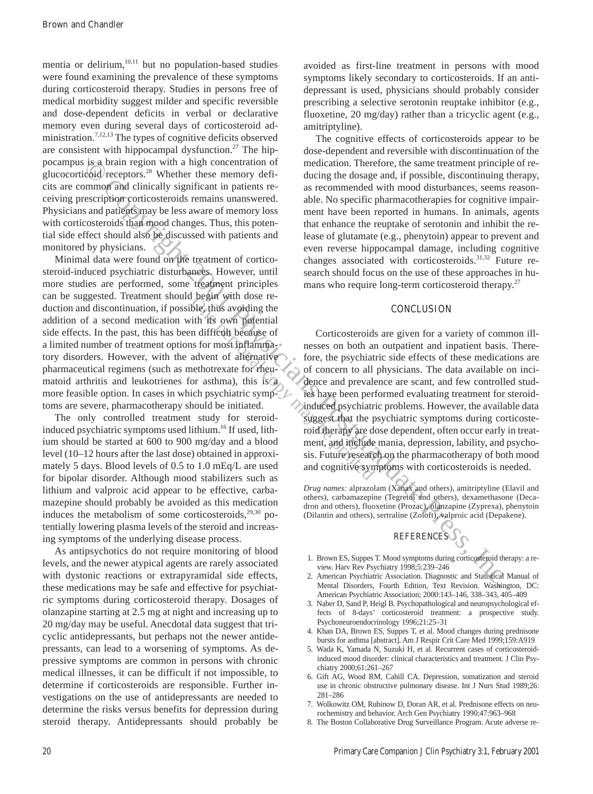mentia or delirium, $10,11$  but no population-based studies were found examining the prevalence of these symptoms during corticosteroid therapy. Studies in persons free of medical morbidity suggest milder and specific reversible and dose-dependent deficits in verbal or declarative memory even during several days of corticosteroid administration.<sup>7,12,13</sup> The types of cognitive deficits observed are consistent with hippocampal dysfunction.<sup>27</sup> The hippocampus is a brain region with a high concentration of glucocorticoid receptors.28 Whether these memory deficits are common and clinically significant in patients receiving prescription corticosteroids remains unanswered. Physicians and patients may be less aware of memory loss with corticosteroids than mood changes. Thus, this potential side effect should also be discussed with patients and monitored by physicians.

is the diminite in the line concertainty of the alternation of the same treatment principal energy and a higher order of the same transformation of the same transformation of the same transformation of the same transforma Minimal data were found on the treatment of corticosteroid-induced psychiatric disturbances. However, until more studies are performed, some treatment principles can be suggested. Treatment should begin with dose reduction and discontinuation, if possible, thus avoiding the addition of a second medication with its own potential side effects. In the past, this has been difficult because of a limited number of treatment options for most inflammatory disorders. However, with the advent of alternative pharmaceutical regimens (such as methotrexate for rheumatoid arthritis and leukotrienes for asthma), this is a more feasible option. In cases in which psychiatric symptoms are severe, pharmacotherapy should be initiated.

The only controlled treatment study for steroidinduced psychiatric symptoms used lithium.<sup>16</sup> If used, lithium should be started at 600 to 900 mg/day and a blood level (10–12 hours after the last dose) obtained in approximately 5 days. Blood levels of 0.5 to 1.0 mEq/L are used for bipolar disorder. Although mood stabilizers such as lithium and valproic acid appear to be effective, carbamazepine should probably be avoided as this medication induces the metabolism of some corticosteroids, $29,30$  potentially lowering plasma levels of the steroid and increasing symptoms of the underlying disease process.

As antipsychotics do not require monitoring of blood levels, and the newer atypical agents are rarely associated with dystonic reactions or extrapyramidal side effects, these medications may be safe and effective for psychiatric symptoms during corticosteroid therapy. Dosages of olanzapine starting at 2.5 mg at night and increasing up to 20 mg/day may be useful. Anecdotal data suggest that tricyclic antidepressants, but perhaps not the newer antidepressants, can lead to a worsening of symptoms. As depressive symptoms are common in persons with chronic medical illnesses, it can be difficult if not impossible, to determine if corticosteroids are responsible. Further investigations on the use of antidepressants are needed to determine the risks versus benefits for depression during steroid therapy. Antidepressants should probably be

avoided as first-line treatment in persons with mood symptoms likely secondary to corticosteroids. If an antidepressant is used, physicians should probably consider prescribing a selective serotonin reuptake inhibitor (e.g., fluoxetine, 20 mg/day) rather than a tricyclic agent (e.g., amitriptyline).

The cognitive effects of corticosteroids appear to be dose-dependent and reversible with discontinuation of the medication. Therefore, the same treatment principle of reducing the dosage and, if possible, discontinuing therapy, as recommended with mood disturbances, seems reasonable. No specific pharmacotherapies for cognitive impairment have been reported in humans. In animals, agents that enhance the reuptake of serotonin and inhibit the release of glutamate (e.g., phenytoin) appear to prevent and even reverse hippocampal damage, including cognitive changes associated with corticosteroids.<sup>31,32</sup> Future research should focus on the use of these approaches in humans who require long-term corticosteroid therapy.<sup>27</sup>

#### **CONCLUSION**

Corticosteroids are given for a variety of common illnesses on both an outpatient and inpatient basis. Therefore, the psychiatric side effects of these medications are of concern to all physicians. The data available on incidence and prevalence are scant, and few controlled studies have been performed evaluating treatment for steroidinduced psychiatric problems. However, the available data suggest that the psychiatric symptoms during corticosteroid therapy are dose dependent, often occur early in treatment, and include mania, depression, lability, and psychosis. Future research on the pharmacotherapy of both mood and cognitive symptoms with corticosteroids is needed.

*Drug names:* alprazolam (Xanax and others), amitriptyline (Elavil and others), carbamazepine (Tegretol and others), dexamethasone (Decadron and others), fluoxetine (Prozac), olanzapine (Zyprexa), phenytoin (Dilantin and others), sertraline (Zoloft), valproic acid (Depakene).



- 1. Brown ES, Suppes T. Mood symptoms during corticosteroid therapy: a review. Harv Rev Psychiatry 1998;5:239–246
- 2. American Psychiatric Association. Diagnostic and Statistical Manual of Mental Disorders, Fourth Edition, Text Revision. Washington, DC: American Psychiatric Association; 2000:143–146, 338–343, 405–409
- 3. Naber D, Sand P, Heigl B. Psychopathological and neuropsychological effects of 8-days' corticosteroid treatment: a prospective study. Psychoneuroendocrinology 1996;21:25–31
- 4. Khan DA, Brown ES, Suppes T, et al. Mood changes during prednisone bursts for asthma [abstract]. Am J Respir Crit Care Med 1999;159:A919
- 5. Wada K, Yamada N, Suzuki H, et al. Recurrent cases of corticosteroidinduced mood disorder: clinical characteristics and treatment. J Clin Psychiatry 2000;61:261–267
- 6. Gift AG, Wood RM, Cahill CA. Depression, somatization and steroid use in chronic obstructive pulmonary disease. Int J Nurs Stud 1989;26: 281–286
- 7. Wolkowitz OM, Rubinow D, Doran AR, et al. Prednisone effects on neurochemistry and behavior. Arch Gen Psychiatry 1990;47:963–968
- 8. The Boston Collaborative Drug Surveillance Program. Acute adverse re-